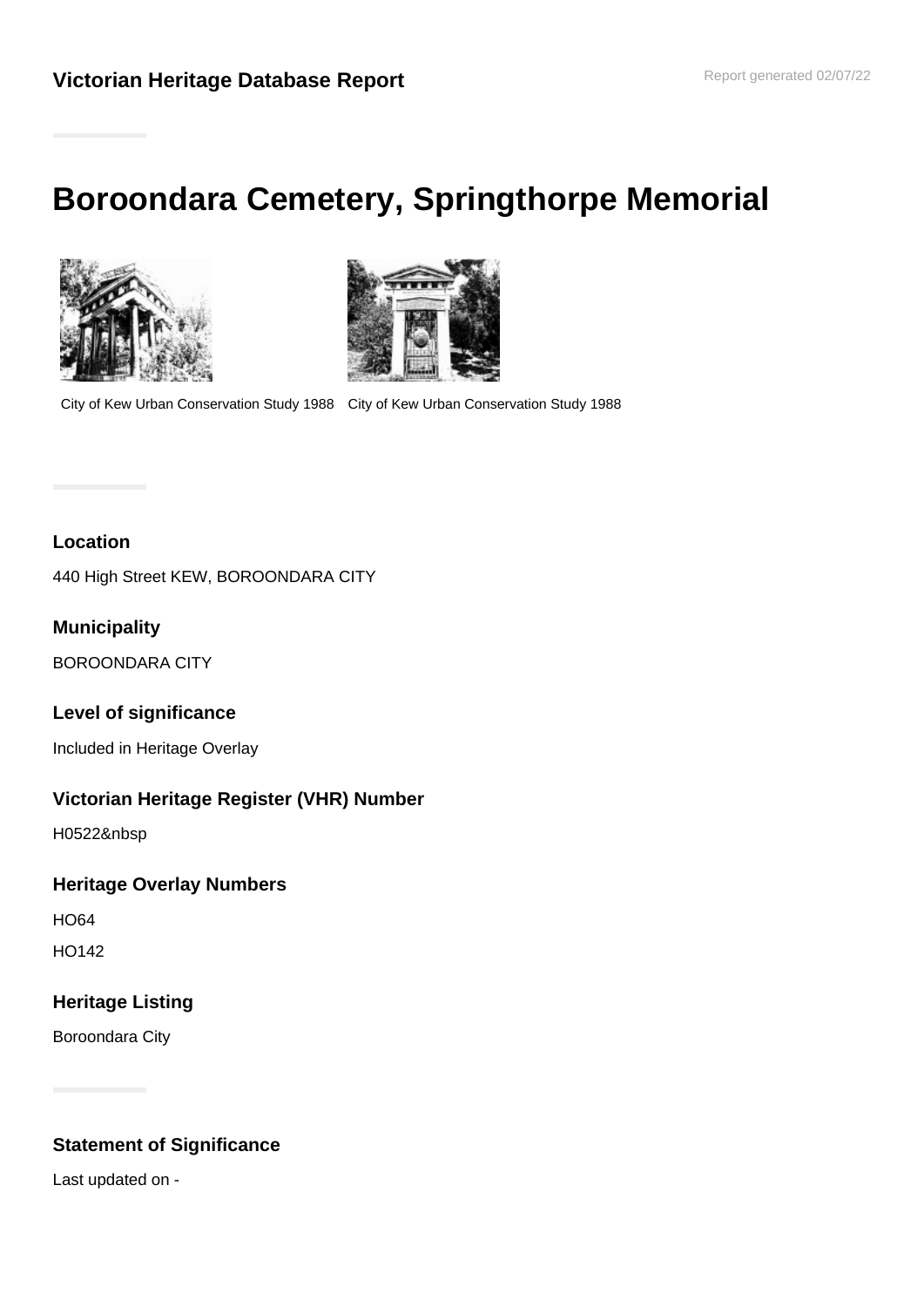# **Boroondara Cemetery, Springthorpe Memorial**





City of Kew Urban Conservation Study 1988 City of Kew Urban Conservation Study 1988

## **Location**

440 High Street KEW, BOROONDARA CITY

### **Municipality**

BOROONDARA CITY

#### **Level of significance**

Included in Heritage Overlay

#### **Victorian Heritage Register (VHR) Number**

H0522&nbsp

#### **Heritage Overlay Numbers**

HO64

HO142

#### **Heritage Listing**

Boroondara City

# **Statement of Significance**

Last updated on -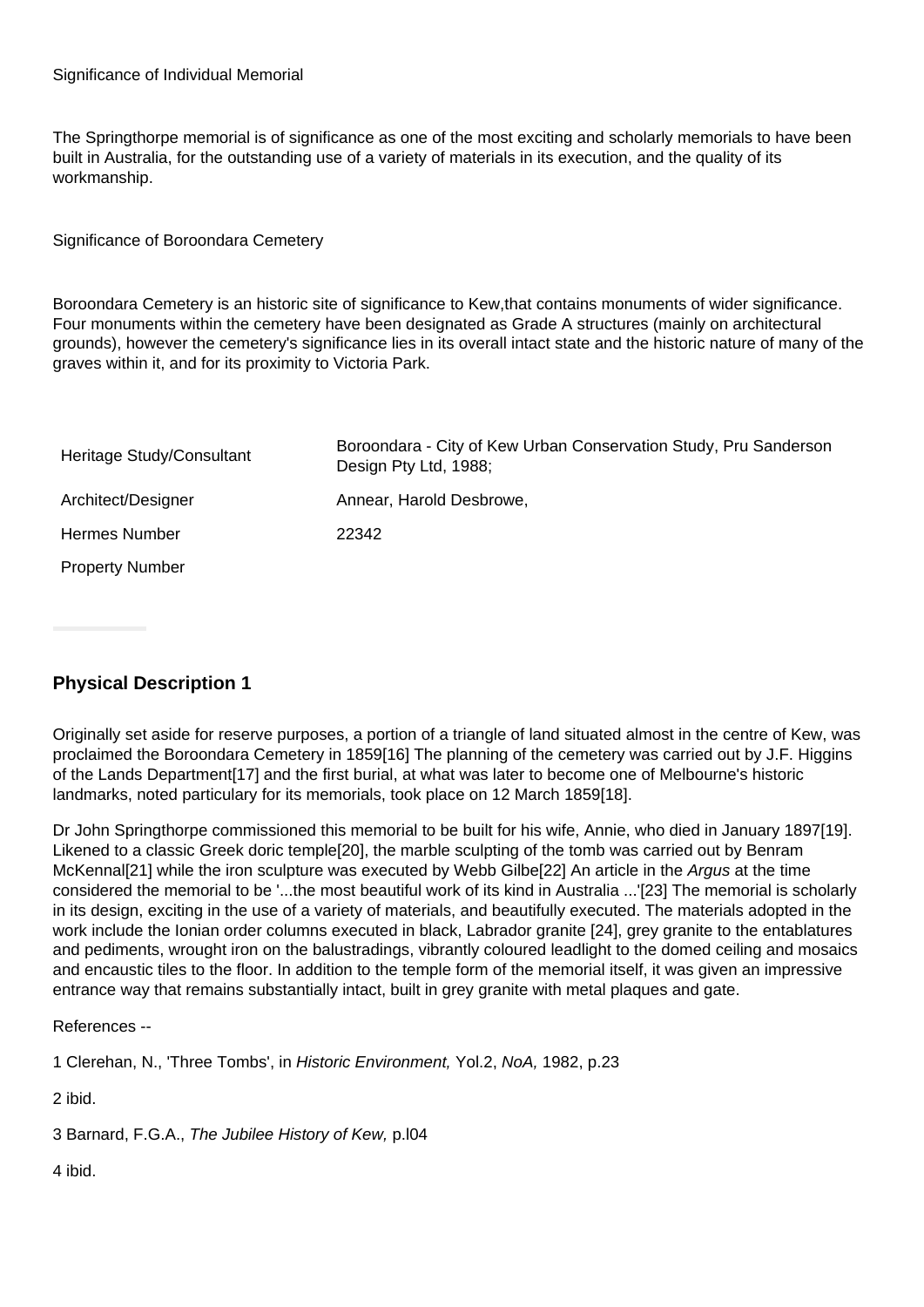Significance of Individual Memorial

The Springthorpe memorial is of significance as one of the most exciting and scholarly memorials to have been built in Australia, for the outstanding use of a variety of materials in its execution, and the quality of its workmanship.

Significance of Boroondara Cemetery

Boroondara Cemetery is an historic site of significance to Kew,that contains monuments of wider significance. Four monuments within the cemetery have been designated as Grade A structures (mainly on architectural grounds), however the cemetery's significance lies in its overall intact state and the historic nature of many of the graves within it, and for its proximity to Victoria Park.

| Heritage Study/Consultant | Boroondara - City of Kew Urban Conservation Study, Pru Sanderson<br>Design Pty Ltd, 1988; |
|---------------------------|-------------------------------------------------------------------------------------------|
| Architect/Designer        | Annear, Harold Desbrowe,                                                                  |
| Hermes Number             | 22342                                                                                     |
| <b>Property Number</b>    |                                                                                           |

# **Physical Description 1**

Originally set aside for reserve purposes, a portion of a triangle of land situated almost in the centre of Kew, was proclaimed the Boroondara Cemetery in 1859[16] The planning of the cemetery was carried out by J.F. Higgins of the Lands Department[17] and the first burial, at what was later to become one of Melbourne's historic landmarks, noted particulary for its memorials, took place on 12 March 1859[18].

Dr John Springthorpe commissioned this memorial to be built for his wife, Annie, who died in January 1897[19]. Likened to a classic Greek doric temple[20], the marble sculpting of the tomb was carried out by Benram McKennal[21] while the iron sculpture was executed by Webb Gilbe[22] An article in the Argus at the time considered the memorial to be '...the most beautiful work of its kind in Australia ...'[23] The memorial is scholarly in its design, exciting in the use of a variety of materials, and beautifully executed. The materials adopted in the work include the Ionian order columns executed in black, Labrador granite [24], grey granite to the entablatures and pediments, wrought iron on the balustradings, vibrantly coloured leadlight to the domed ceiling and mosaics and encaustic tiles to the floor. In addition to the temple form of the memorial itself, it was given an impressive entrance way that remains substantially intact, built in grey granite with metal plaques and gate.

References --

1 Clerehan, N., 'Three Tombs', in Historic Environment, Yol.2, NoA, 1982, p.23

2 ibid.

3 Barnard, F.G.A., The Jubilee History of Kew, p.l04

4 ibid.